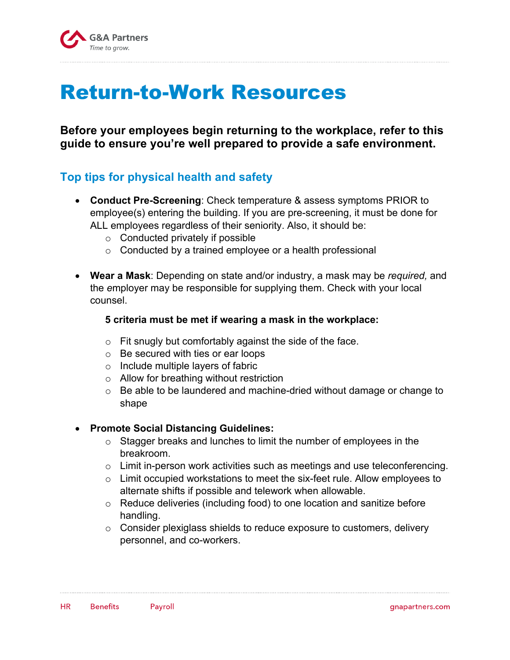

# Return-to-Work Resources

**Before your employees begin returning to the workplace, refer to this guide to ensure you're well prepared to provide a safe environment.**

## **Top tips for physical health and safety**

- **Conduct Pre-Screening**: Check temperature & assess symptoms PRIOR to employee(s) entering the building. If you are pre-screening, it must be done for ALL employees regardless of their seniority. Also, it should be:
	- o Conducted privately if possible
	- $\circ$  Conducted by a trained employee or a health professional
- **Wear a Mask**: Depending on state and/or industry, a mask may be *required,* and the *e*mployer may be responsible for supplying them. Check with your local counsel.

#### **5 criteria must be met if wearing a mask in the workplace:**

- $\circ$  Fit snugly but comfortably against the side of the face.
- o Be secured with ties or ear loops
- $\circ$  Include multiple layers of fabric
- o Allow for breathing without restriction
- o Be able to be laundered and machine-dried without damage or change to shape

#### • **Promote Social Distancing Guidelines:**

- o Stagger breaks and lunches to limit the number of employees in the breakroom.
- $\circ$  Limit in-person work activities such as meetings and use teleconferencing.
- o Limit occupied workstations to meet the six-feet rule. Allow employees to alternate shifts if possible and telework when allowable.
- o Reduce deliveries (including food) to one location and sanitize before handling.
- $\circ$  Consider plexiglass shields to reduce exposure to customers, delivery personnel, and co-workers.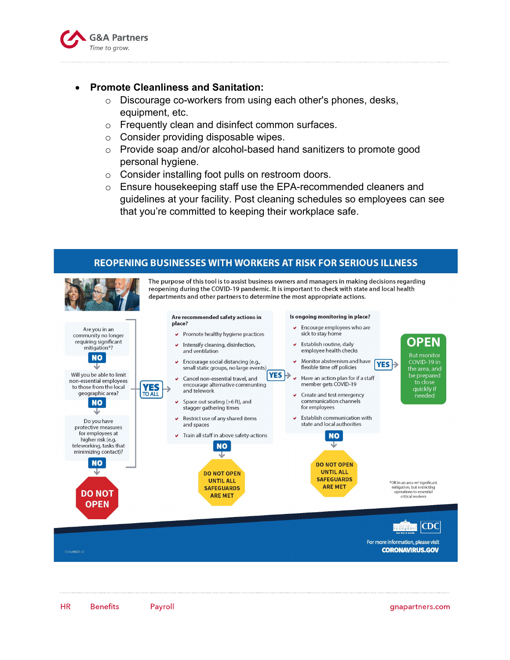

#### • **Promote Cleanliness and Sanitation:**

- o Discourage co-workers from using each other's phones, desks, equipment, etc.
- o Frequently clean and disinfect common surfaces.
- o Consider providing disposable wipes.
- $\circ$  Provide soap and/or alcohol-based hand sanitizers to promote good personal hygiene.
- o Consider installing foot pulls on restroom doors.
- $\circ$  Ensure housekeeping staff use the EPA-recommended cleaners and guidelines at your facility. Post cleaning schedules so employees can see that you're committed to keeping their workplace safe.

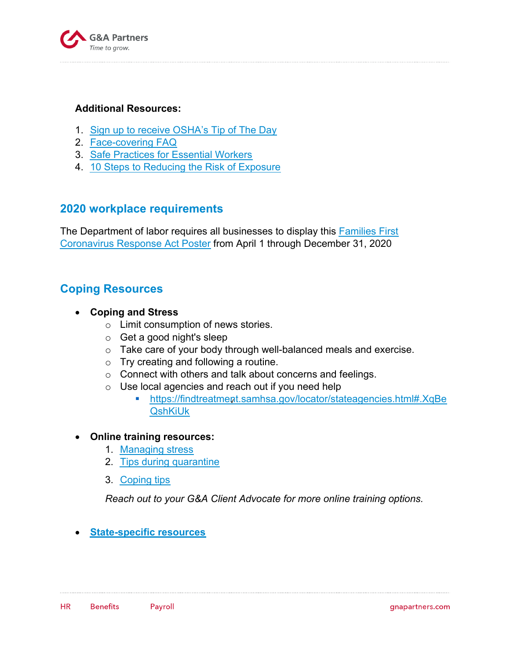

#### **Additional Resources:**

- 1. [Sign up to receive OSHA's Tip of The Day](https://www.osha.gov/#subscribeTips)
- 2. [Face-covering FAQ](https://www.cdc.gov/coronavirus/2019-ncov/prevent-getting-sick/cloth-face-cover-faq.html)
- 3. [Safe Practices for Essential Workers](https://www.cdc.gov/coronavirus/2019-ncov/community/critical-workers/implementing-safety-practices.html)
- 4. [10 Steps to Reducing the Risk of Exposure](https://www.osha.gov/Publications/OSHA3994.pdf)

### **2020 workplace requirements**

[The Department of labor requires all businesses to display this Families First](https://www.dol.gov/sites/dolgov/files/WHD/posters/FFCRA_Poster_WH1422_Non-Federal.pdf) Coronavirus Response Act Poster from April 1 through December 31, 2020

## **Coping Resources**

- **Coping and Stress**
	- o Limit consumption of news stories.
	- o Get a good night's sleep
	- o Take care of your body through well-balanced meals and exercise.
	- o Try creating and following a routine.
	- o Connect with others and talk about concerns and feelings.
	- o Use local agencies and reach out if you need help
		- § [https://findtreatment.samhsa.gov/locator/stateagencies.html#.XqBe](https://findtreatment.samhsa.gov/locator/stateagencies.html#.XqMjOtNKgWp) QshKiUk

#### • **Online training resources:**

- 1. [Managing stress](https://www.cdc.gov/coronavirus/2019-ncov/daily-life-coping/managing-stress-anxiety.html)
- 2. [Tips during quarantine](https://www.samhsa.gov/sites/default/files/tips-social-distancing-quarantine-isolation-031620.pdf)
- 3. [Coping tips](https://www.samhsa.gov/find-help/disaster-distress-helpline/coping-tips)

*Reach out to your G&A Client Advocate for more online training options.*

• **[State-specific resources](https://hr.blr.com/HR-news/HR-Administration/HR-Management/State-Specific-COVID-19-Assistance-Resources-for-B/)**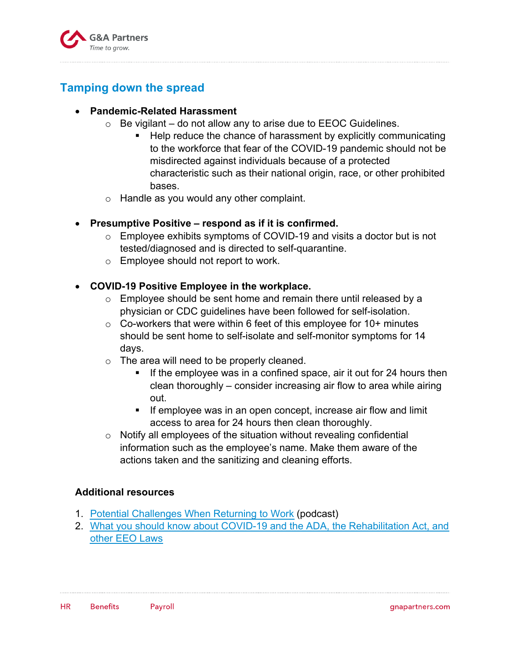

## **Tamping down the spread**

#### • **Pandemic-Related Harassment**

- $\circ$  Be vigilant do not allow any to arise due to EEOC Guidelines.
	- Help reduce the chance of harassment by explicitly communicating to the workforce that fear of the COVID-19 pandemic should not be misdirected against individuals because of a protected characteristic such as their national origin, race, or other prohibited bases.
- o Handle as you would any other complaint.

#### • **Presumptive Positive – respond as if it is confirmed.**

- o Employee exhibits symptoms of COVID-19 and visits a doctor but is not tested/diagnosed and is directed to self-quarantine.
- o Employee should not report to work.

#### • **COVID-19 Positive Employee in the workplace.**

- $\circ$  Employee should be sent home and remain there until released by a physician or CDC guidelines have been followed for self-isolation.
- $\circ$  Co-workers that were within 6 feet of this employee for 10+ minutes should be sent home to self-isolate and self-monitor symptoms for 14 days.
- o The area will need to be properly cleaned.
	- If the employee was in a confined space, air it out for 24 hours then clean thoroughly – consider increasing air flow to area while airing out.
	- If employee was in an open concept, increase air flow and limit access to area for 24 hours then clean thoroughly.
- o Notify all employees of the situation without revealing confidential information such as the employee's name. Make them aware of the actions taken and the sanitizing and cleaning efforts.

#### **Additional resources**

- 1. [Potential Challenges When Returning to Work](https://www.littler.com/publication-press/publication/challenges-returning-employees-back-work-after-covid-19) (podcast)
- 2. [What you should know about COVID-19 and the ADA, the Rehabilitation Act, and](https://www1.eeoc.gov/eeoc/newsroom/wysk/wysk_ada_rehabilitaion_act_coronavirus.cfm?renderforprint=1) other EEO Laws